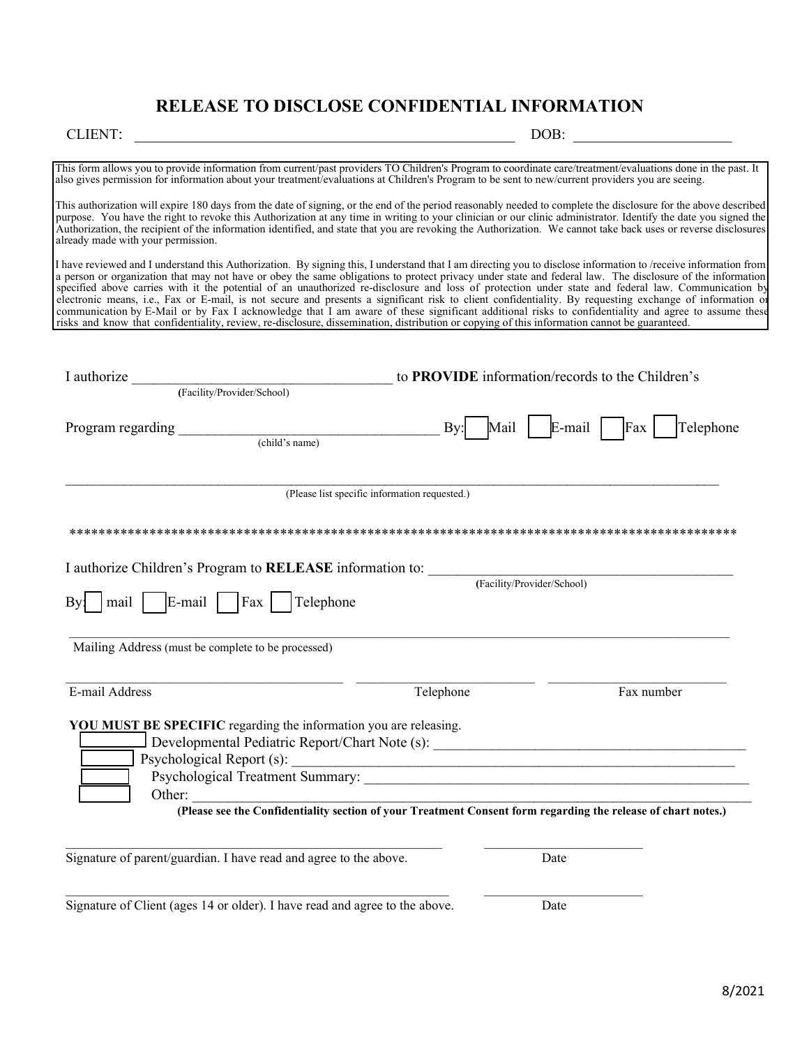## **RELEASE TO DISCLOSE CONFIDENTIAL INFORMATION**

## CLIENT: \_\_\_\_\_\_\_\_\_\_\_\_\_\_\_\_\_\_\_\_\_\_\_\_\_\_\_\_\_\_\_\_\_\_\_\_\_\_\_\_\_\_\_\_\_\_\_\_ DOB: \_\_\_\_\_\_\_\_\_\_\_\_\_\_\_\_\_\_\_\_

This form allows you to provide information from current/past providers TO Children's Program to coordinate care/treatment/evaluations done in the past. It also gives permission for information about your treatment/evaluations at Children's Program to be sent to new/current providers you are seeing. This authorization will expire 180 days from the date of signing, or the end of the period reasonably needed to complete the disclosure for the above described purpose. You have the right to revoke this Authorization at any time in writing to your clinician or our clinic administrator. Identify the date you signed the Authorization, the recipient of the information identified, and state that you are revoking the Authorization. We cannot take back uses or reverse disclosures already made with your permission. I have reviewed and I understand this Authorization. By signing this, I understand that I am directing you to disclose information to /receive information from a person or organization that may not have or obey the same obligations to protect privacy under state and federal law. The disclosure of the information specified above carries with it the potential of an unauthorized re-disclosure and loss of protection under state and federal law. Communication by electronic means, i.e., Fax or E-mail, is not secure and presents a significant risk to client confidentiality. By requesting exchange of information or communication by E-Mail or by Fax I acknowledge that I am aware of these significant additional risks to confidentiality and agree to assume these risks and know that confidentiality, review, re-disclosure, dissemination, distribution or copying of this information cannot be guaranteed. I authorize **I** authorize to **PROVIDE** information/records to the Children's **(**Facility/Provider/School) Program regarding Telephone and the set of the set of the By: Mail | E-mail | Fax | Telephone (child's name) \_\_\_\_\_\_\_\_\_\_\_\_\_\_\_\_\_\_\_\_\_\_\_\_\_\_\_\_\_\_\_\_\_\_\_\_\_\_\_\_\_\_\_\_\_\_\_\_\_\_\_\_\_\_\_\_\_\_\_\_\_\_\_\_\_\_\_\_\_\_\_\_\_\_\_\_\_\_\_\_\_\_\_\_\_\_\_\_\_\_ (Please list specific information requested.) \*\*\*\*\*\*\*\*\*\*\*\*\*\*\*\*\*\*\*\*\*\*\*\*\*\*\*\*\*\*\*\*\*\*\*\*\*\*\*\*\*\*\*\*\*\*\*\*\*\*\*\*\*\*\*\*\*\*\*\*\*\*\*\*\*\*\*\*\*\*\*\*\*\*\*\*\*\*\*\*\*\*\*\*\*\*\*\*\*\*\*\* I authorize Children's Program to **RELEASE** information to: **(**Facility/Provider/School) By: mail E-mail Fax Telephone  $\bot$  , and the set of the set of the set of the set of the set of the set of the set of the set of the set of the set of the set of the set of the set of the set of the set of the set of the set of the set of the set of t Mailing Address (must be complete to be processed)  $\_$  , and the state of the state of the state of the state of the state of the state of the state of the state of the state of the state of the state of the state of the state of the state of the state of the state of the E-mail Address and the settlement of the Telephone Fax number Fax number **YOU MUST BE SPECIFIC** regarding the information you are releasing. Developmental Pediatric Report/Chart Note (s): \_\_\_\_\_\_\_\_\_\_\_\_\_\_\_\_\_\_\_\_\_\_\_\_\_\_\_\_\_\_\_\_\_ Psychological Report (s): Psychological Treatment Summary: Other: \_\_\_\_\_\_\_\_\_\_\_\_\_\_\_\_\_\_\_\_\_\_\_\_\_\_\_\_\_\_\_\_\_\_\_\_\_\_\_\_\_\_\_\_\_\_\_\_\_\_\_\_\_\_\_\_\_\_\_\_\_\_\_\_\_\_\_\_\_\_\_\_\_\_\_\_\_ **(Please see the Confidentiality section of your Treatment Consent form regarding the release of chart notes.)**   $\mathcal{L}_\mathcal{L} = \{ \mathcal{L}_\mathcal{L} = \{ \mathcal{L}_\mathcal{L} = \{ \mathcal{L}_\mathcal{L} = \{ \mathcal{L}_\mathcal{L} = \{ \mathcal{L}_\mathcal{L} = \{ \mathcal{L}_\mathcal{L} = \{ \mathcal{L}_\mathcal{L} = \{ \mathcal{L}_\mathcal{L} = \{ \mathcal{L}_\mathcal{L} = \{ \mathcal{L}_\mathcal{L} = \{ \mathcal{L}_\mathcal{L} = \{ \mathcal{L}_\mathcal{L} = \{ \mathcal{L}_\mathcal{L} = \{ \mathcal{L}_\mathcal{$ Signature of parent/guardian. I have read and agree to the above. Date  $\mathcal{L}_\mathcal{L} = \mathcal{L}_\mathcal{L} = \mathcal{L}_\mathcal{L} = \mathcal{L}_\mathcal{L} = \mathcal{L}_\mathcal{L} = \mathcal{L}_\mathcal{L} = \mathcal{L}_\mathcal{L} = \mathcal{L}_\mathcal{L} = \mathcal{L}_\mathcal{L} = \mathcal{L}_\mathcal{L} = \mathcal{L}_\mathcal{L} = \mathcal{L}_\mathcal{L} = \mathcal{L}_\mathcal{L} = \mathcal{L}_\mathcal{L} = \mathcal{L}_\mathcal{L} = \mathcal{L}_\mathcal{L} = \mathcal{L}_\mathcal{L}$ Signature of Client (ages 14 or older). I have read and agree to the above. Date